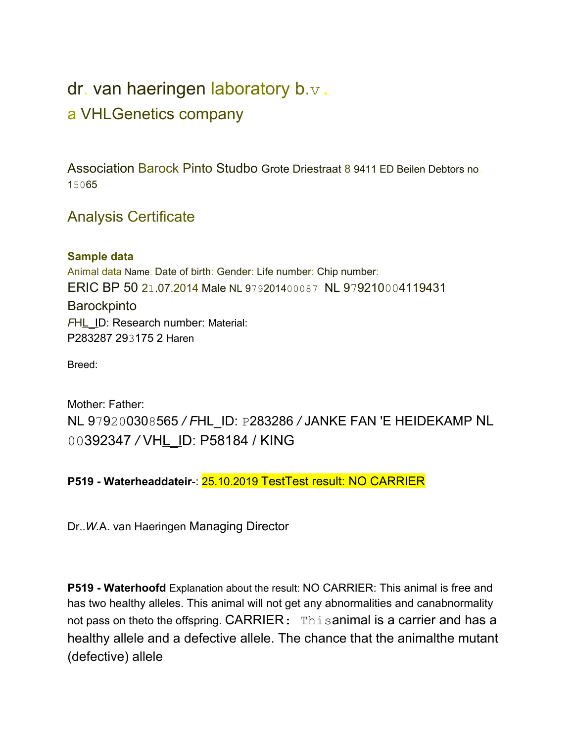## dr. van haeringen laboratory b.v. a VHLGenetics company

Association Barock Pinto Studbo Grote Driestraat 8 9411 ED Beilen Debtors no. 15065

## Analysis Certificate

## **Sample data**

Animal data Name: Date of birth: Gender: Life number: Chip number: ERIC BP 50 21.07.2014 Male NL 979201400087 NL 979210004119431 **Barockpinto** *FHL* ID: Research number: Material: P283287 293175 2 Haren

Breed:

Mother: Father: NL 979200308565 */ F*HL\_ID: P283286 */* JANKE FAN 'E HEIDEKAMP NL 00392347 */* VHL\_ID: P58184 / KING

## **P519 - Waterheaddateir**-: 25.10.2019 TestTest result: NO CARRIER

Dr..*W.*A. van Haeringen Managing Director

**P519 - Waterhoofd** Explanation about the result: NO CARRIER: This animal is free and has two healthy alleles. This animal will not get any abnormalities and canabnormality not pass on theto the offspring. CARRIER: Thisanimal is a carrier and has a healthy allele and a defective allele. The chance that the animalthe mutant (defective) allele